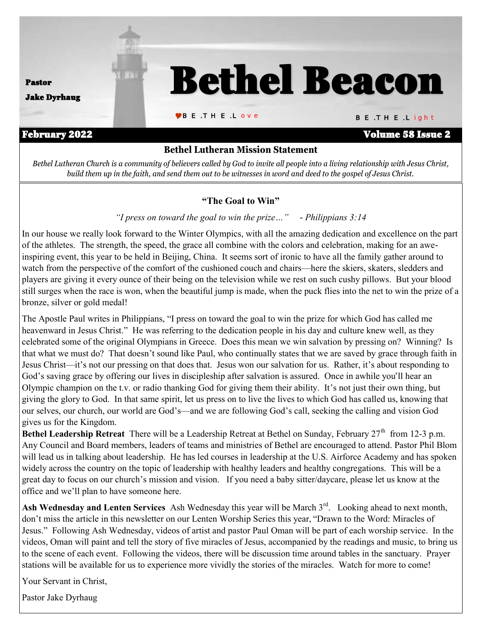

*Bethel Lutheran Church is a community of believers called by God to invite all people into a living relationship with Jesus Christ, build them up in the faith, and send them out to be witnesses in word and deed to the gospel of Jesus Christ.*

#### **"The Goal to Win"**

#### *"I press on toward the goal to win the prize…" - Philippians 3:14*

In our house we really look forward to the Winter Olympics, with all the amazing dedication and excellence on the part of the athletes. The strength, the speed, the grace all combine with the colors and celebration, making for an aweinspiring event, this year to be held in Beijing, China. It seems sort of ironic to have all the family gather around to watch from the perspective of the comfort of the cushioned couch and chairs—here the skiers, skaters, sledders and players are giving it every ounce of their being on the television while we rest on such cushy pillows. But your blood still surges when the race is won, when the beautiful jump is made, when the puck flies into the net to win the prize of a bronze, silver or gold medal!

The Apostle Paul writes in Philippians, "I press on toward the goal to win the prize for which God has called me heavenward in Jesus Christ." He was referring to the dedication people in his day and culture knew well, as they celebrated some of the original Olympians in Greece. Does this mean we win salvation by pressing on? Winning? Is that what we must do? That doesn't sound like Paul, who continually states that we are saved by grace through faith in Jesus Christ—it's not our pressing on that does that. Jesus won our salvation for us. Rather, it's about responding to God's saving grace by offering our lives in discipleship after salvation is assured. Once in awhile you'll hear an Olympic champion on the t.v. or radio thanking God for giving them their ability. It's not just their own thing, but giving the glory to God. In that same spirit, let us press on to live the lives to which God has called us, knowing that our selves, our church, our world are God's—and we are following God's call, seeking the calling and vision God gives us for the Kingdom.

**Bethel Leadership Retreat** There will be a Leadership Retreat at Bethel on Sunday, February 27<sup>th</sup> from 12-3 p.m. Any Council and Board members, leaders of teams and ministries of Bethel are encouraged to attend. Pastor Phil Blom will lead us in talking about leadership. He has led courses in leadership at the U.S. Airforce Academy and has spoken widely across the country on the topic of leadership with healthy leaders and healthy congregations. This will be a great day to focus on our church's mission and vision. If you need a baby sitter/daycare, please let us know at the office and we'll plan to have someone here.

Ash Wednesday and Lenten Services Ash Wednesday this year will be March 3<sup>rd</sup>. Looking ahead to next month, don't miss the article in this newsletter on our Lenten Worship Series this year, "Drawn to the Word: Miracles of Jesus." Following Ash Wednesday, videos of artist and pastor Paul Oman will be part of each worship service. In the videos, Oman will paint and tell the story of five miracles of Jesus, accompanied by the readings and music, to bring us to the scene of each event. Following the videos, there will be discussion time around tables in the sanctuary. Prayer stations will be available for us to experience more vividly the stories of the miracles. Watch for more to come!

Your Servant in Christ,

Pastor Jake Dyrhaug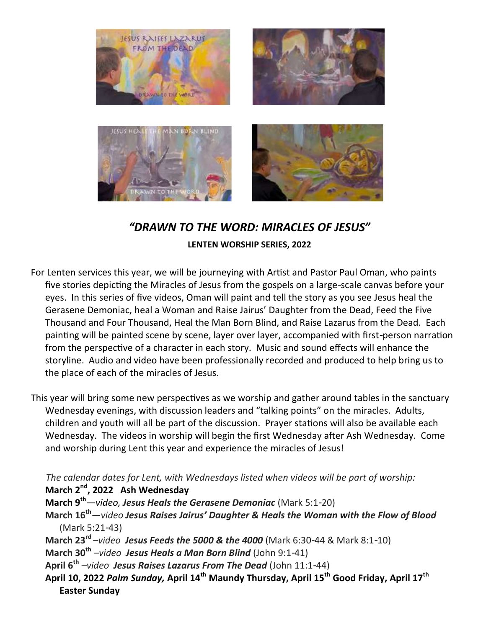

#### *"DRAWN TO THE WORD: MIRACLES OF JESUS"* **LENTEN WORSHIP SERIES, 2022**

For Lenten services this year, we will be journeying with Artist and Pastor Paul Oman, who paints five stories depicting the Miracles of Jesus from the gospels on a large-scale canvas before your eyes. In this series of five videos, Oman will paint and tell the story as you see Jesus heal the Gerasene Demoniac, heal a Woman and Raise Jairus' Daughter from the Dead, Feed the Five Thousand and Four Thousand, Heal the Man Born Blind, and Raise Lazarus from the Dead. Each painting will be painted scene by scene, layer over layer, accompanied with first-person narration from the perspective of a character in each story. Music and sound effects will enhance the storyline. Audio and video have been professionally recorded and produced to help bring us to the place of each of the miracles of Jesus.

This year will bring some new perspectives as we worship and gather around tables in the sanctuary Wednesday evenings, with discussion leaders and "talking points" on the miracles. Adults, children and youth will all be part of the discussion. Prayer stations will also be available each Wednesday. The videos in worship will begin the first Wednesday after Ash Wednesday. Come and worship during Lent this year and experience the miracles of Jesus!

 *The calendar dates for Lent, with Wednesdays listed when videos will be part of worship:*  **March 2nd, 2022 Ash Wednesday**

**March 9th***—video, Jesus Heals the Gerasene Demoniac* (Mark 5:1-20)

- **March 16th***—video Jesus Raises Jairus' Daughter & Heals the Woman with the Flow of Blood* (Mark 5:21-43)
- **March 23rd** *–video Jesus Feeds the 5000 & the 4000* (Mark 6:30-44 & Mark 8:1-10)

**March 30th** *–video Jesus Heals a Man Born Blind* (John 9:1-41)

**April 6th** *–video Jesus Raises Lazarus From The Dead* (John 11:1-44)

**April 10, 2022** *Palm Sunday,* **April 14th Maundy Thursday, April 15th Good Friday, April 17th Easter Sunday**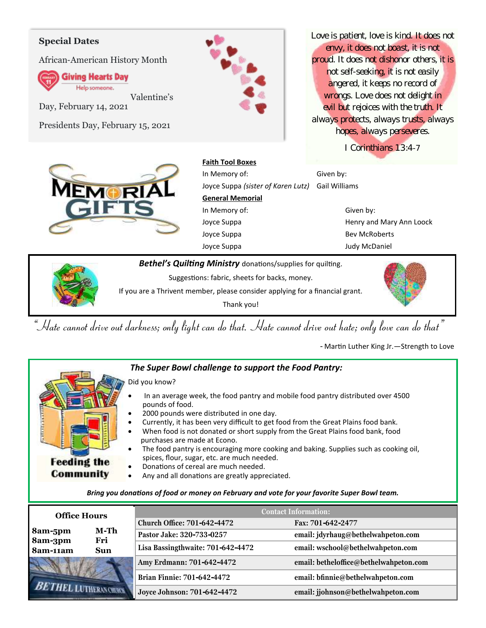#### **Special Dates**

African-American History Month

**Giving Hearts Day** Help someone.

Valentine's

Day, February 14, 2021

Presidents Day, February 15, 2021



*Love is patient, love is kind. It does not envy, it does not boast, it is not proud. It does not dishonor others, it is not self-seeking, it is not easily angered, it keeps no record of wrongs. Love does not delight in evil but rejoices with the truth. It always protects, always trusts, always hopes, always perseveres.*

*I Corinthians 13:4-7* 



**Faith Tool Boxes**

In Memory of: Given by: Joyce Suppa *(sister of Karen Lutz)* Gail Williams **General Memorial** In Memory of: Given by: Joyce Suppa **Henry and Mary Ann Loock** Joyce Suppa Bev McRoberts Joyce Suppa Judy McDaniel

*Bethel's Quilting Ministry* donations/supplies for quilting.

Suggestions: fabric, sheets for backs, money.

If you are a Thrivent member, please consider applying for a financial grant.

Thank you!

*"Hate cannot drive out darkness; only light can do that. Hate cannot drive out hate; only love can do that"*

- Martin Luther King Jr.—Strength to Love



#### *The Super Bowl challenge to support the Food Pantry:*

- Did you know?
- In an average week, the food pantry and mobile food pantry distributed over 4500 pounds of food.
- 2000 pounds were distributed in one day.
- Currently, it has been very difficult to get food from the Great Plains food bank.
- When food is not donated or short supply from the Great Plains food bank, food purchases are made at Econo.
	- The food pantry is encouraging more cooking and baking. Supplies such as cooking oil, spices, flour, sugar, etc. are much needed.
	- Donations of cereal are much needed.
	- Any and all donations are greatly appreciated.

#### *Bring you donations of food or money on February and vote for your favorite Super Bowl team.*

| <b>Office Hours</b>    |                        | <b>Contact Information:</b>        |                                        |  |
|------------------------|------------------------|------------------------------------|----------------------------------------|--|
|                        |                        | <b>Church Office: 701-642-4472</b> | Fax: 701-642-2477                      |  |
| M-Th<br>8am-5pm<br>Fri |                        | Pastor Jake: 320-733-0257          | email: jdyrhaug@bethelwahpeton.com     |  |
| 8am-3pm<br>8am-11am    | <b>Sun</b>             | Lisa Bassingthwaite: 701-642-4472  | email: wschool@bethelwahpeton.com      |  |
|                        |                        | Amy Erdmann: 701-642-4472          | email: betheloffice@bethelwahpeton.com |  |
|                        |                        | Brian Finnie: 701-642-4472         | email: bfinnie@bethelwahpeton.com      |  |
|                        | <b>LUTHERAN CHURCH</b> | Joyce Johnson: 701-642-4472        | email: jjohnson@bethelwahpeton.com     |  |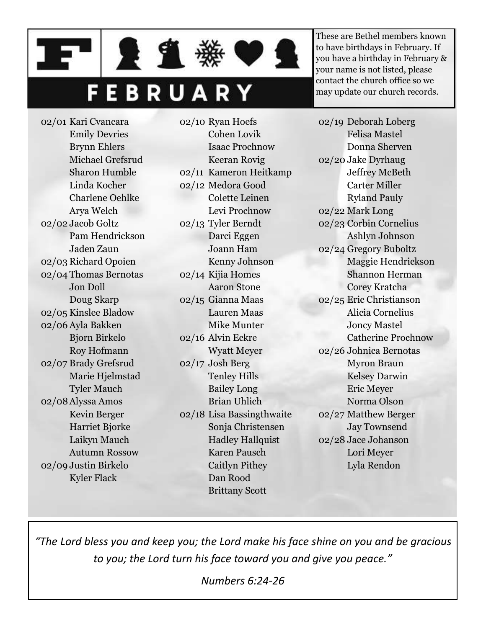## FEBRUARY

21

02/01 Kari Cvancara Emily Devries Brynn Ehlers Michael Grefsrud Sharon Humble Linda Kocher Charlene Oehlke Arya Welch 02/02 Jacob Goltz Pam Hendrickson Jaden Zaun 02/03 Richard Opoien 02/04 Thomas Bernotas Jon Doll Doug Skarp 02/05 Kinslee Bladow 02/06 Ayla Bakken Bjorn Birkelo Roy Hofmann 02/07 Brady Grefsrud Marie Hjelmstad Tyler Mauch 02/08Alyssa Amos Kevin Berger Harriet Bjorke Laikyn Mauch Autumn Rossow 02/09 Justin Birkelo Kyler Flack

02/10 Ryan Hoefs Cohen Lovik Isaac Prochnow Keeran Rovig 02/11 Kameron Heitkamp 02/12 Medora Good Colette Leinen Levi Prochnow 02/13 Tyler Berndt Darci Eggen Joann Ham Kenny Johnson 02/14 Kijia Homes Aaron Stone 02/15 Gianna Maas Lauren Maas Mike Munter 02/16 Alvin Eckre Wyatt Meyer 02/17 Josh Berg Tenley Hills Bailey Long Brian Uhlich 02/18 Lisa Bassingthwaite Sonja Christensen Hadley Hallquist Karen Pausch Caitlyn Pithey

These are Bethel members known to have birthdays in February. If you have a birthday in February & your name is not listed, please contact the church office so we may update our church records.

02/19 Deborah Loberg Felisa Mastel Donna Sherven 02/20 Jake Dyrhaug Jeffrey McBeth Carter Miller Ryland Pauly 02/22 Mark Long 02/23 Corbin Cornelius Ashlyn Johnson 02/24 Gregory Buboltz Maggie Hendrickson Shannon Herman Corey Kratcha 02/25 Eric Christianson Alicia Cornelius Joncy Mastel Catherine Prochnow 02/26 Johnica Bernotas Myron Braun Kelsey Darwin Eric Meyer Norma Olson 02/27 Matthew Berger Jay Townsend 02/28 Jace Johanson Lori Meyer Lyla Rendon

*"The Lord bless you and keep you; the Lord make his face shine on you and be gracious to you; the Lord turn his face toward you and give you peace."*

Dan Rood Brittany Scott

*Numbers 6:24-26*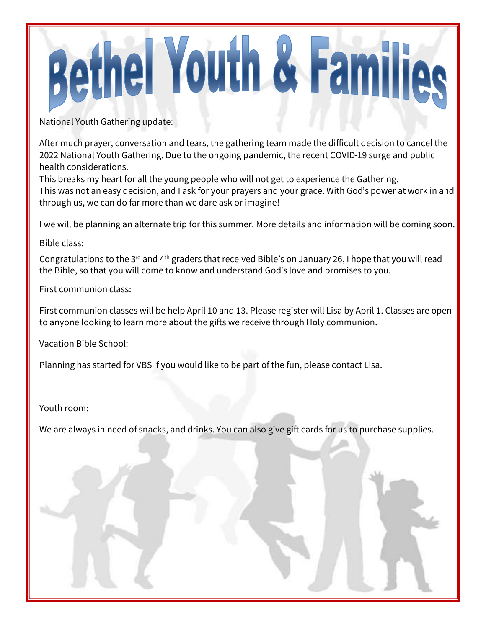# **Bethel Youth & Families**

National Youth Gathering update:

After much prayer, conversation and tears, the gathering team made the difficult decision to cancel the 2022 National Youth Gathering. Due to the ongoing pandemic, the recent COVID-19 surge and public health considerations.

This breaks my heart for all the young people who will not get to experience the Gathering. This was not an easy decision, and I ask for your prayers and your grace. With God's power at work in and through us, we can do far more than we dare ask or imagine!

I we will be planning an alternate trip for this summer. More details and information will be coming soon.

Bible class:

Congratulations to the 3<sup>rd</sup> and 4<sup>th</sup> graders that received Bible's on January 26, I hope that you will read the Bible, so that you will come to know and understand God's love and promises to you.

First communion class:

First communion classes will be help April 10 and 13. Please register will Lisa by April 1. Classes are open to anyone looking to learn more about the gifts we receive through Holy communion.

Vacation Bible School:

Planning has started for VBS if you would like to be part of the fun, please contact Lisa.

Youth room:

We are always in need of snacks, and drinks. You can also give gift cards for us to purchase supplies.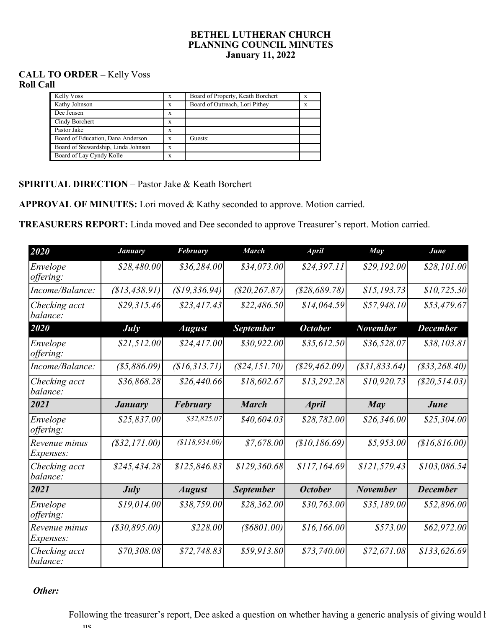#### **BETHEL LUTHERAN CHURCH PLANNING COUNCIL MINUTES January 11, 2022**

#### **CALL TO ORDER –** Kelly Voss **Roll Call**

| Kelly Voss                          | X | Board of Property, Keath Borchert | x |
|-------------------------------------|---|-----------------------------------|---|
| Kathy Johnson                       | X | Board of Outreach, Lori Pithey    | x |
| Dee Jensen                          | x |                                   |   |
| Cindy Borchert                      | X |                                   |   |
| Pastor Jake                         | x |                                   |   |
| Board of Education, Dana Anderson   | X | Guests:                           |   |
| Board of Stewardship, Linda Johnson | X |                                   |   |
| Board of Lay Cyndy Kolle            | л |                                   |   |

#### **SPIRITUAL DIRECTION** – Pastor Jake & Keath Borchert

**APPROVAL OF MINUTES:** Lori moved & Kathy seconded to approve. Motion carried.

**TREASURERS REPORT:** Linda moved and Dee seconded to approve Treasurer's report. Motion carried.

| 2020                              | <b>January</b>      | <b>February</b> | <b>March</b>      | <b>April</b>   | <b>May</b>          | June            |
|-----------------------------------|---------------------|-----------------|-------------------|----------------|---------------------|-----------------|
| Envelope<br>offering:             | \$28,480.00         | \$36,284.00     | \$34,073.00       | \$24,397.11    | \$29,192.00         | \$28,101.00     |
| Income/Balance:                   | (\$13,438.91)       | \$19,336.94)    | $(\$20, 267.87)$  | (\$28,689.78)  | \$15,193.73         | \$10, 725.30    |
| Checking acct<br>balance:         | \$29,315.46         | \$23,417.43     | \$22,486.50       | \$14,064.59    | \$57,948.10         | \$53,479.67     |
| 2020                              | July                | <b>August</b>   | <b>September</b>  | <b>October</b> | November            | <b>December</b> |
| Envelope<br><i>offering:</i>      | \$21,512.00         | \$24,417.00     | \$30,922.00       | \$35,612.50    | \$36,528.07         | \$38,103.81     |
| Income/Balance:                   | ( \$5,886.09)       | (\$16,313.71)   | $(\$24, 151.70)$  | (\$29,462.09)  | $($ \$31,833.64 $)$ | (\$33,268.40)   |
| Checking acct<br>balance:         | \$36,868.28         | \$26,440.66     | \$18,602.67       | \$13,292.28    | \$10,920.73         | (S20, 514.03)   |
| 2021                              | <b>January</b>      | <b>February</b> | <b>March</b>      | <b>April</b>   | May                 | June            |
| Envelope<br>offering:             | \$25,837.00         | \$32,825.07     | \$40,604.03       | \$28,782.00    | \$26,346.00         | \$25,304.00     |
| Revenue minus<br><i>Expenses:</i> | (\$32,171.00)       | (\$118,934.00)  | \$7,678.00        | \$10,186.69    | \$5,953.00          | \$16,816.00     |
| Checking acct<br>balance:         | \$245,434.28        | \$125,846.83    | \$129,360.68      | \$117,164.69   | \$121,579.43        | \$103,086.54    |
| 2021                              | July                | <b>August</b>   | <b>September</b>  | <b>October</b> | <b>November</b>     | <b>December</b> |
| Envelope<br>offering:             | \$19,014.00         | \$38,759.00     | \$28,362.00       | \$30,763.00    | \$35,189.00         | \$52,896.00     |
| Revenue minus<br>Expenses:        | $($ \$30,895.00 $)$ | \$228.00        | $($ \$6801.00 $)$ | \$16,166.00    | \$573.00            | \$62,972.00     |
| Checking acct<br>balance:         | \$70,308.08         | \$72,748.83     | \$59,913.80       | \$73,740.00    | \$72,671.08         | \$133,626.69    |

#### *Other:*

Following the treasurer's report, Dee asked a question on whether having a generic analysis of giving would l us.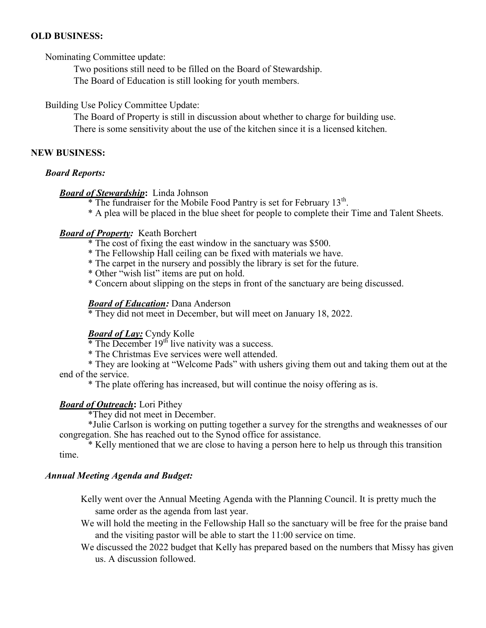#### **OLD BUSINESS:**

Nominating Committee update:

Two positions still need to be filled on the Board of Stewardship.

The Board of Education is still looking for youth members.

Building Use Policy Committee Update:

The Board of Property is still in discussion about whether to charge for building use. There is some sensitivity about the use of the kitchen since it is a licensed kitchen.

#### **NEW BUSINESS:**

#### *Board Reports:*

#### *Board of Stewardship***:** Linda Johnson

 $*$  The fundraiser for the Mobile Food Pantry is set for February 13<sup>th</sup>.

\* A plea will be placed in the blue sheet for people to complete their Time and Talent Sheets.

#### *Board of Property:* Keath Borchert

- \* The cost of fixing the east window in the sanctuary was \$500.
- \* The Fellowship Hall ceiling can be fixed with materials we have.
- \* The carpet in the nursery and possibly the library is set for the future.
- \* Other "wish list" items are put on hold.
- \* Concern about slipping on the steps in front of the sanctuary are being discussed.

#### *Board of Education:* Dana Anderson

\* They did not meet in December, but will meet on January 18, 2022.

#### *Board of Lay:* Cyndy Kolle

 $*$  The December 19<sup>th</sup> live nativity was a success.

\* The Christmas Eve services were well attended.

\* They are looking at "Welcome Pads" with ushers giving them out and taking them out at the end of the service.

\* The plate offering has increased, but will continue the noisy offering as is.

#### *Board of Outreach***:** Lori Pithey

\*They did not meet in December.

\*Julie Carlson is working on putting together a survey for the strengths and weaknesses of our congregation. She has reached out to the Synod office for assistance.

\* Kelly mentioned that we are close to having a person here to help us through this transition time.

#### *Annual Meeting Agenda and Budget:*

Kelly went over the Annual Meeting Agenda with the Planning Council. It is pretty much the same order as the agenda from last year.

- We will hold the meeting in the Fellowship Hall so the sanctuary will be free for the praise band and the visiting pastor will be able to start the 11:00 service on time.
- We discussed the 2022 budget that Kelly has prepared based on the numbers that Missy has given us. A discussion followed.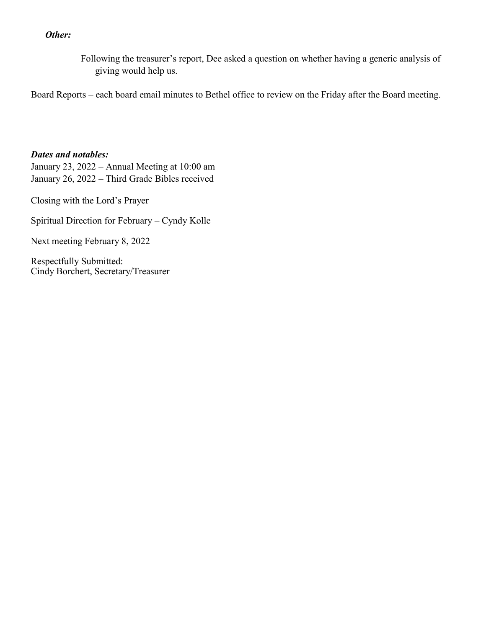#### *Other:*

Following the treasurer's report, Dee asked a question on whether having a generic analysis of giving would help us.

Board Reports – each board email minutes to Bethel office to review on the Friday after the Board meeting.

#### *Dates and notables:*

January 23, 2022 – Annual Meeting at 10:00 am January 26, 2022 – Third Grade Bibles received

Closing with the Lord's Prayer

Spiritual Direction for February – Cyndy Kolle

Next meeting February 8, 2022

Respectfully Submitted: Cindy Borchert, Secretary/Treasurer